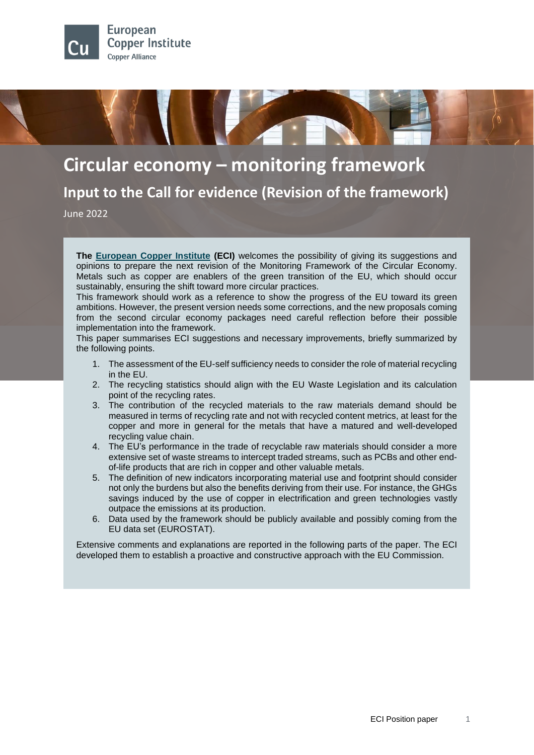

**Circular economy – monitoring framework Input to the Call for evidence (Revision of the framework)**

June 2022

**The [European Copper Institute](https://copperalliance.org/regional-hubs/europe/) (ECI)** welcomes the possibility of giving its suggestions and opinions to prepare the next revision of the Monitoring Framework of the Circular Economy. Metals such as copper are enablers of the green transition of the EU, which should occur sustainably, ensuring the shift toward more circular practices.

This framework should work as a reference to show the progress of the EU toward its green ambitions. However, the present version needs some corrections, and the new proposals coming from the second circular economy packages need careful reflection before their possible implementation into the framework.

This paper summarises ECI suggestions and necessary improvements, briefly summarized by the following points.

- 1. The assessment of the EU-self sufficiency needs to consider the role of material recycling in the EU.
- 2. The recycling statistics should align with the EU Waste Legislation and its calculation point of the recycling rates.
- 3. The contribution of the recycled materials to the raw materials demand should be measured in terms of recycling rate and not with recycled content metrics, at least for the copper and more in general for the metals that have a matured and well-developed recycling value chain.
- 4. The EU's performance in the trade of recyclable raw materials should consider a more extensive set of waste streams to intercept traded streams, such as PCBs and other endof-life products that are rich in copper and other valuable metals.
- 5. The definition of new indicators incorporating material use and footprint should consider not only the burdens but also the benefits deriving from their use. For instance, the GHGs savings induced by the use of copper in electrification and green technologies vastly outpace the emissions at its production.
- 6. Data used by the framework should be publicly available and possibly coming from the EU data set (EUROSTAT).

Extensive comments and explanations are reported in the following parts of the paper. The ECI developed them to establish a proactive and constructive approach with the EU Commission.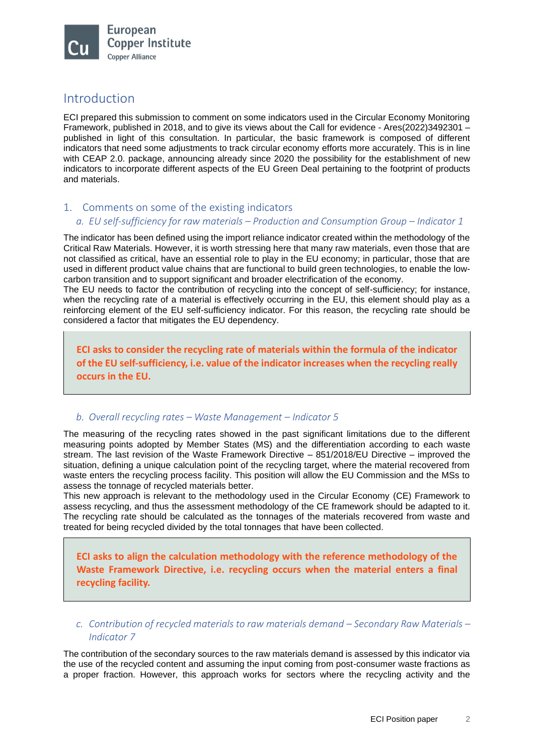

# Introduction

ECI prepared this submission to comment on some indicators used in the Circular Economy Monitoring Framework, published in 2018, and to give its views about the Call for evidence - Ares(2022)3492301 – published in light of this consultation. In particular, the basic framework is composed of different indicators that need some adjustments to track circular economy efforts more accurately. This is in line with CEAP 2.0. package, announcing already since 2020 the possibility for the establishment of new indicators to incorporate different aspects of the EU Green Deal pertaining to the footprint of products and materials.

# 1. Comments on some of the existing indicators

# *a. EU self-sufficiency for raw materials – Production and Consumption Group – Indicator 1*

The indicator has been defined using the import reliance indicator created within the methodology of the Critical Raw Materials. However, it is worth stressing here that many raw materials, even those that are not classified as critical, have an essential role to play in the EU economy; in particular, those that are used in different product value chains that are functional to build green technologies, to enable the lowcarbon transition and to support significant and broader electrification of the economy.

The EU needs to factor the contribution of recycling into the concept of self-sufficiency; for instance, when the recycling rate of a material is effectively occurring in the EU, this element should play as a reinforcing element of the EU self-sufficiency indicator. For this reason, the recycling rate should be considered a factor that mitigates the EU dependency.

**ECI asks to consider the recycling rate of materials within the formula of the indicator of the EU self-sufficiency, i.e. value of the indicator increases when the recycling really occurs in the EU.**

## *b. Overall recycling rates – Waste Management – Indicator 5*

The measuring of the recycling rates showed in the past significant limitations due to the different measuring points adopted by Member States (MS) and the differentiation according to each waste stream. The last revision of the Waste Framework Directive – 851/2018/EU Directive – improved the situation, defining a unique calculation point of the recycling target, where the material recovered from waste enters the recycling process facility. This position will allow the EU Commission and the MSs to assess the tonnage of recycled materials better.

This new approach is relevant to the methodology used in the Circular Economy (CE) Framework to assess recycling, and thus the assessment methodology of the CE framework should be adapted to it. The recycling rate should be calculated as the tonnages of the materials recovered from waste and treated for being recycled divided by the total tonnages that have been collected.

**ECI asks to align the calculation methodology with the reference methodology of the Waste Framework Directive, i.e. recycling occurs when the material enters a final recycling facility.**

*c. Contribution of recycled materials to raw materials demand – Secondary Raw Materials – Indicator 7*

The contribution of the secondary sources to the raw materials demand is assessed by this indicator via the use of the recycled content and assuming the input coming from post-consumer waste fractions as a proper fraction. However, this approach works for sectors where the recycling activity and the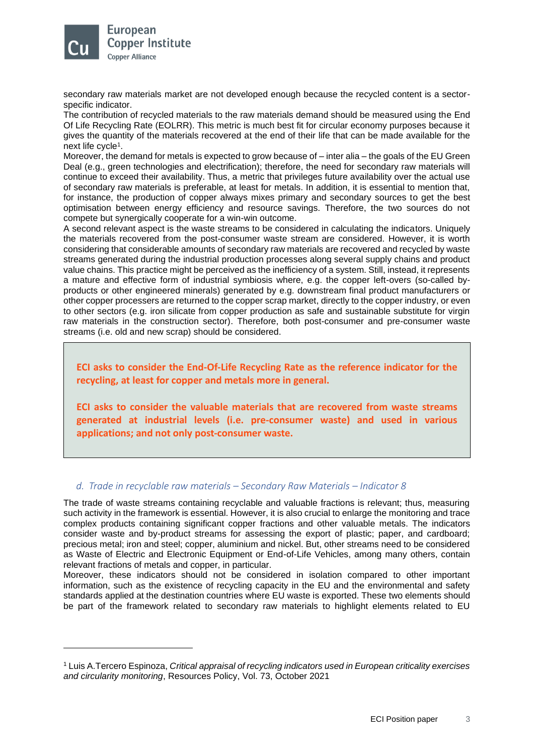

secondary raw materials market are not developed enough because the recycled content is a sectorspecific indicator.

The contribution of recycled materials to the raw materials demand should be measured using the End Of Life Recycling Rate (EOLRR). This metric is much best fit for circular economy purposes because it gives the quantity of the materials recovered at the end of their life that can be made available for the next life cycle<sup>1</sup>.

Moreover, the demand for metals is expected to grow because of – inter alia – the goals of the EU Green Deal (e.g., green technologies and electrification); therefore, the need for secondary raw materials will continue to exceed their availability. Thus, a metric that privileges future availability over the actual use of secondary raw materials is preferable, at least for metals. In addition, it is essential to mention that, for instance, the production of copper always mixes primary and secondary sources to get the best optimisation between energy efficiency and resource savings. Therefore, the two sources do not compete but synergically cooperate for a win-win outcome.

A second relevant aspect is the waste streams to be considered in calculating the indicators. Uniquely the materials recovered from the post-consumer waste stream are considered. However, it is worth considering that considerable amounts of secondary raw materials are recovered and recycled by waste streams generated during the industrial production processes along several supply chains and product value chains. This practice might be perceived as the inefficiency of a system. Still, instead, it represents a mature and effective form of industrial symbiosis where, e.g. the copper left-overs (so-called byproducts or other engineered minerals) generated by e.g. downstream final product manufacturers or other copper processers are returned to the copper scrap market, directly to the copper industry, or even to other sectors (e.g. iron silicate from copper production as safe and sustainable substitute for virgin raw materials in the construction sector). Therefore, both post-consumer and pre-consumer waste streams (i.e. old and new scrap) should be considered.

**ECI asks to consider the End-Of-Life Recycling Rate as the reference indicator for the recycling, at least for copper and metals more in general.**

**ECI asks to consider the valuable materials that are recovered from waste streams generated at industrial levels (i.e. pre-consumer waste) and used in various applications; and not only post-consumer waste.**

### *d. Trade in recyclable raw materials – Secondary Raw Materials – Indicator 8*

The trade of waste streams containing recyclable and valuable fractions is relevant; thus, measuring such activity in the framework is essential. However, it is also crucial to enlarge the monitoring and trace complex products containing significant copper fractions and other valuable metals. The indicators consider waste and by-product streams for assessing the export of plastic; paper, and cardboard; precious metal; iron and steel; copper, aluminium and nickel. But, other streams need to be considered as Waste of Electric and Electronic Equipment or End-of-Life Vehicles, among many others, contain relevant fractions of metals and copper, in particular.

Moreover, these indicators should not be considered in isolation compared to other important information, such as the existence of recycling capacity in the EU and the environmental and safety standards applied at the destination countries where EU waste is exported. These two elements should be part of the framework related to secondary raw materials to highlight elements related to EU

<sup>1</sup> Luis A.Tercero Espinoza, *Critical appraisal of recycling indicators used in European criticality exercises and circularity monitoring*, Resources Policy, Vol. 73, October 2021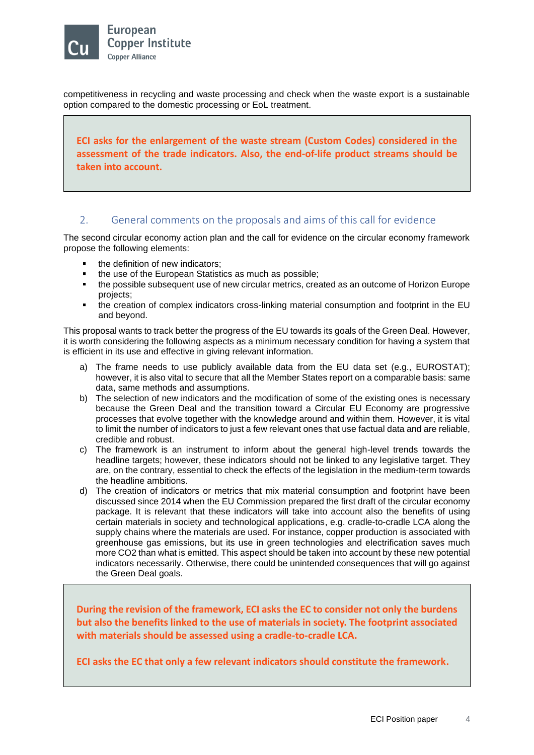

competitiveness in recycling and waste processing and check when the waste export is a sustainable option compared to the domestic processing or EoL treatment.

**ECI asks for the enlargement of the waste stream (Custom Codes) considered in the assessment of the trade indicators. Also, the end-of-life product streams should be taken into account.**

# 2. General comments on the proposals and aims of this call for evidence

The second circular economy action plan and the call for evidence on the circular economy framework propose the following elements:

- the definition of new indicators:
- the use of the European Statistics as much as possible;
- the possible subsequent use of new circular metrics, created as an outcome of Horizon Europe projects;
- the creation of complex indicators cross-linking material consumption and footprint in the EU and beyond.

This proposal wants to track better the progress of the EU towards its goals of the Green Deal. However, it is worth considering the following aspects as a minimum necessary condition for having a system that is efficient in its use and effective in giving relevant information.

- a) The frame needs to use publicly available data from the EU data set (e.g., EUROSTAT); however, it is also vital to secure that all the Member States report on a comparable basis: same data, same methods and assumptions.
- b) The selection of new indicators and the modification of some of the existing ones is necessary because the Green Deal and the transition toward a Circular EU Economy are progressive processes that evolve together with the knowledge around and within them. However, it is vital to limit the number of indicators to just a few relevant ones that use factual data and are reliable, credible and robust.
- c) The framework is an instrument to inform about the general high-level trends towards the headline targets; however, these indicators should not be linked to any legislative target. They are, on the contrary, essential to check the effects of the legislation in the medium-term towards the headline ambitions.
- d) The creation of indicators or metrics that mix material consumption and footprint have been discussed since 2014 when the EU Commission prepared the first draft of the circular economy package. It is relevant that these indicators will take into account also the benefits of using certain materials in society and technological applications, e.g. cradle-to-cradle LCA along the supply chains where the materials are used. For instance, copper production is associated with greenhouse gas emissions, but its use in green technologies and electrification saves much more CO2 than what is emitted. This aspect should be taken into account by these new potential indicators necessarily. Otherwise, there could be unintended consequences that will go against the Green Deal goals.

**During the revision of the framework, ECI asks the EC to consider not only the burdens but also the benefits linked to the use of materials in society. The footprint associated with materials should be assessed using a cradle-to-cradle LCA.**

**ECI asks the EC that only a few relevant indicators should constitute the framework.**